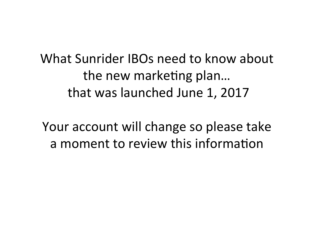What Sunrider IBOs need to know about the new marketing plan... that was launched June 1, 2017

Your account will change so please take a moment to review this information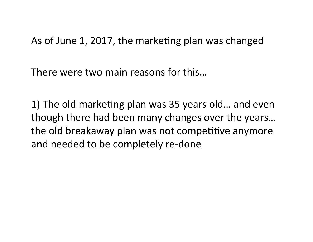As of June 1, 2017, the marketing plan was changed

There were two main reasons for this...

1) The old marketing plan was 35 years old... and even though there had been many changes over the years... the old breakaway plan was not competitive anymore and needed to be completely re-done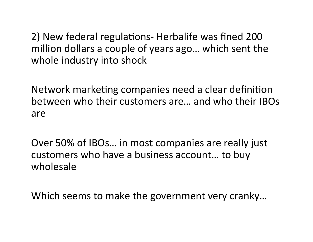2) New federal regulations- Herbalife was fined 200 million dollars a couple of years ago... which sent the whole industry into shock

Network marketing companies need a clear definition between who their customers are... and who their IBOs are 

Over 50% of IBOs... in most companies are really just customers who have a business account... to buy wholesale 

Which seems to make the government very cranky...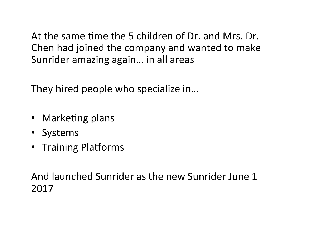At the same time the 5 children of Dr. and Mrs. Dr. Chen had joined the company and wanted to make Sunrider amazing again... in all areas

They hired people who specialize in...

- Marketing plans
- Systems
- Training Platforms

And launched Sunrider as the new Sunrider June 1 2017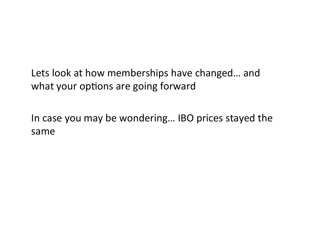Lets look at how memberships have changed... and what your options are going forward

In case you may be wondering... IBO prices stayed the same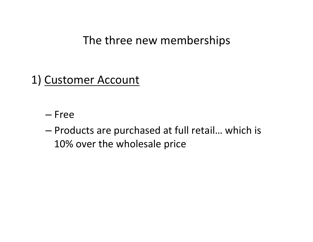The three new memberships

### 1) Customer Account

- Free
- $-$  Products are purchased at full retail... which is 10% over the wholesale price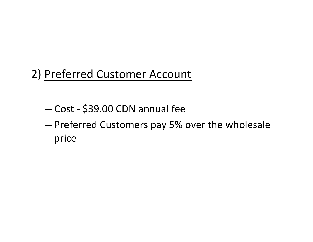## 2) Preferred Customer Account

- Cost \$39.00 CDN annual fee
- $-$  Preferred Customers pay 5% over the wholesale price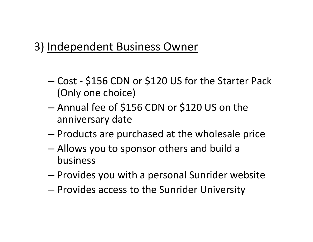### 3) Independent Business Owner

- Cost \$156 CDN or \$120 US for the Starter Pack (Only one choice)
- $-$  Annual fee of \$156 CDN or \$120 US on the anniversary date
- $-$  Products are purchased at the wholesale price
- $-$  Allows you to sponsor others and build a business
- $-$  Provides you with a personal Sunrider website
- $-$  Provides access to the Sunrider University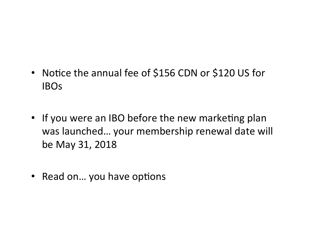- Notice the annual fee of \$156 CDN or \$120 US for IBOs
- If you were an IBO before the new marketing plan was launched... your membership renewal date will be May 31, 2018
- Read on... you have options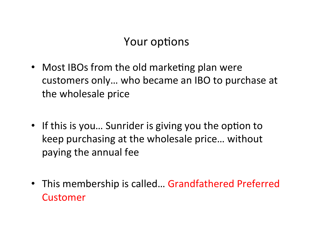### Your options

- Most IBOs from the old marketing plan were customers only... who became an IBO to purchase at the wholesale price
- If this is you... Sunrider is giving you the option to keep purchasing at the wholesale price... without paying the annual fee
- This membership is called... Grandfathered Preferred Customer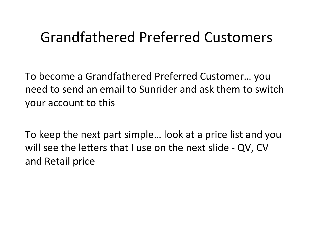# Grandfathered Preferred Customers

To become a Grandfathered Preferred Customer... you need to send an email to Sunrider and ask them to switch your account to this

To keep the next part simple... look at a price list and you will see the letters that I use on the next slide - QV, CV and Retail price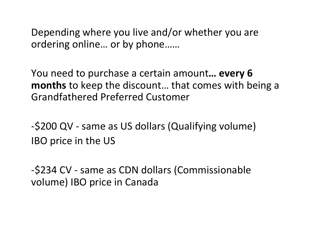Depending where you live and/or whether you are ordering online... or by phone......

You need to purchase a certain amount... every 6 **months** to keep the discount... that comes with being a Grandfathered Preferred Customer 

-\$200 QV - same as US dollars (Qualifying volume) **IBO** price in the US

-\$234 CV - same as CDN dollars (Commissionable volume) IBO price in Canada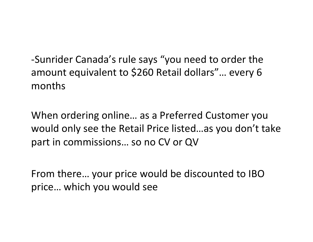-Sunrider Canada's rule says "you need to order the amount equivalent to \$260 Retail dollars"... every 6 months 

When ordering online... as a Preferred Customer you would only see the Retail Price listed...as you don't take part in commissions... so no CV or QV

From there... your price would be discounted to IBO price... which you would see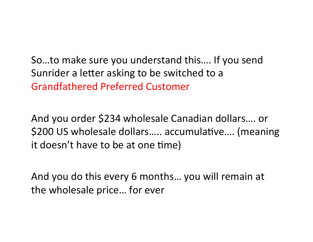So...to make sure you understand this.... If you send Sunrider a letter asking to be switched to a Grandfathered Preferred Customer 

And you order \$234 wholesale Canadian dollars.... or \$200 US wholesale dollars..... accumulative.... (meaning it doesn't have to be at one time)

And you do this every 6 months... you will remain at the wholesale price... for ever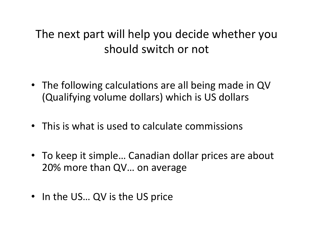### The next part will help you decide whether you should switch or not

- The following calculations are all being made in QV (Qualifying volume dollars) which is US dollars
- This is what is used to calculate commissions
- To keep it simple... Canadian dollar prices are about 20% more than QV... on average
- In the US... QV is the US price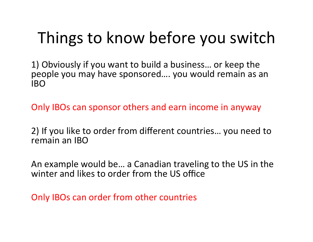# Things to know before you switch

1) Obviously if you want to build a business... or keep the people you may have sponsored.... you would remain as an IBO 

Only IBOs can sponsor others and earn income in anyway

2) If you like to order from different countries... you need to remain an IBO

An example would be... a Canadian traveling to the US in the winter and likes to order from the US office

Only IBOs can order from other countries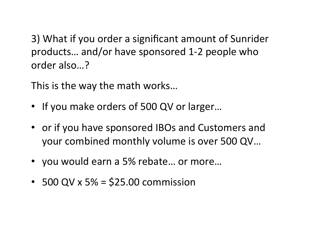3) What if you order a significant amount of Sunrider products... and/or have sponsored 1-2 people who order also...?

This is the way the math works...

- If you make orders of 500 QV or larger...
- or if you have sponsored IBOs and Customers and your combined monthly volume is over 500 QV...
- you would earn a 5% rebate... or more...
- 500 QV x 5% =  $$25.00$  commission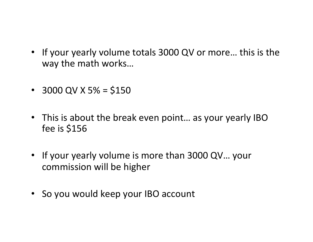- If your yearly volume totals 3000 QV or more... this is the way the math works...
- 3000 QV X 5% = \$150
- This is about the break even point... as your yearly IBO fee is  $$156$
- If your yearly volume is more than 3000 QV... your commission will be higher
- So you would keep your IBO account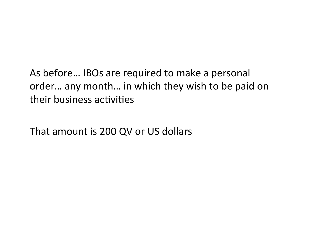As before... IBOs are required to make a personal order... any month... in which they wish to be paid on their business activities

That amount is 200 QV or US dollars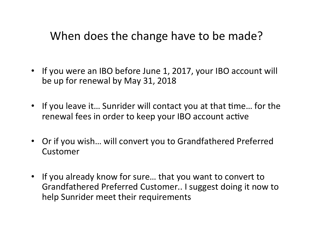### When does the change have to be made?

- If you were an IBO before June 1, 2017, your IBO account will be up for renewal by May 31, 2018
- If you leave it... Sunrider will contact you at that time... for the renewal fees in order to keep your IBO account active
- Or if you wish... will convert you to Grandfathered Preferred Customer
- If you already know for sure... that you want to convert to Grandfathered Preferred Customer.. I suggest doing it now to help Sunrider meet their requirements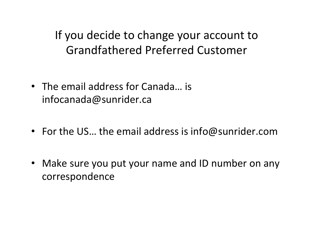If you decide to change your account to Grandfathered Preferred Customer 

- The email address for Canada... is infocanada@sunrider.ca
- For the US... the email address is info@sunrider.com
- Make sure you put your name and ID number on any correspondence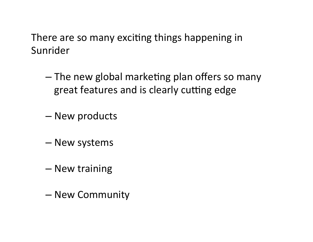There are so many exciting things happening in Sunrider

- The new global marketing plan offers so many great features and is clearly cutting edge
- New products
- New systems
- New training
- New Community